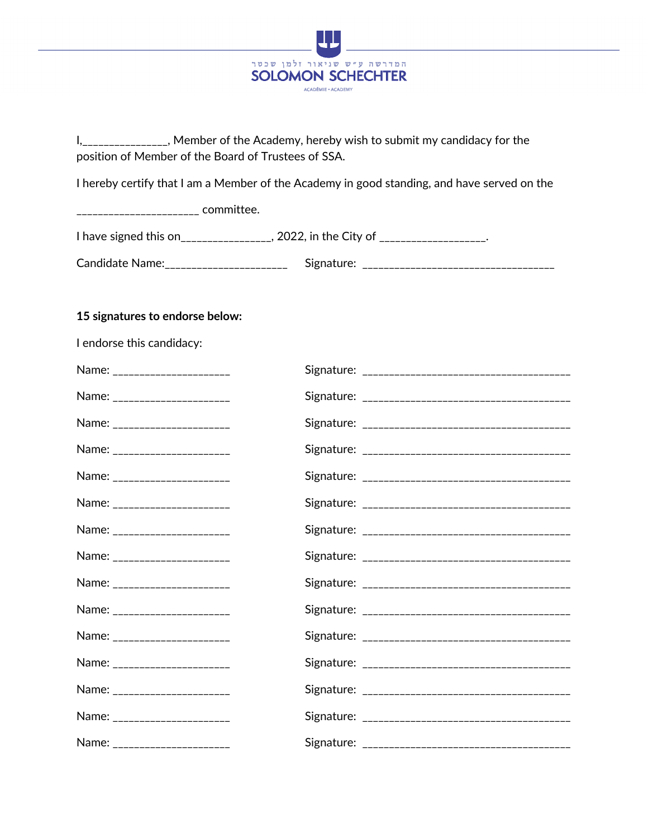

I,\_\_\_\_\_\_\_\_\_\_\_\_\_\_\_\_, Member of the Academy, hereby wish to submit my candidacy for the position of Member of the Board of Trustees of SSA.

I hereby certify that I am a Member of the Academy in good standing, and have served on the

\_\_\_\_\_\_\_\_\_\_\_\_\_\_\_\_\_\_\_\_\_\_\_ committee.

| I have signed this on  | , 2022, in the City of |
|------------------------|------------------------|
| <b>Candidate Name:</b> | Signature:             |

## **15 signatures to endorse below:**

| I endorse this candidacy:     |  |
|-------------------------------|--|
| Name: ______________________  |  |
| Name: _______________________ |  |
| Name: ______________________  |  |
| Name: _______________________ |  |
| Name: ______________________  |  |
| Name: ______________________  |  |
| Name: _______________________ |  |
| Name: ______________________  |  |
| Name: _______________________ |  |
| Name: ______________________  |  |
| Name: _______________________ |  |
| Name: _______________________ |  |
| Name: ______________________  |  |
| Name: _______________________ |  |
| Name: _______________________ |  |